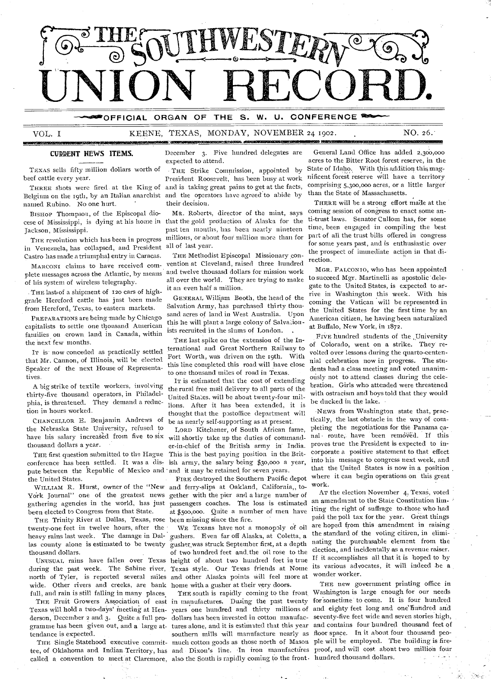

**—"`OFFICIAL ORGAN OF THE S. W. U. CONFERENCE** 

VOL. I KEENE, TEXAS, MONDAY, NOVEMBER 24 1902. NO. 26.

ASSMICINZIAIBIZNISI

TEXAS sells fifty million dollars worth of . THE Strike Commission, appointed by

Belgium on the roth, by an Italian anarchist and the operators have agreed to abide by named Rubino. No one hurt. their decision.

BISHOP Thompson, of the Episcopal dio- MR. Roberts, director of the mint, says

in Venezuela, has collapsed, and President all of last year.<br>Castro has made a triumphal entry in Caracas. THE Methodist Episcopal Missionary con-Castro has made a triumphal entry in Caracas.

plete messages across the Atlantic, by means

THE last of a shipment of 120 cars of high-<br>and a Hamford gattle has inst been made. GENERAL William Booth, the head of the grade Hereford cattle has jnst been made

**TREPARATIONS are being made by Circago** this he will plant a large colony of Salvadon-capitalists to settle one thousand American families on crown land in Canada, within the next few months.

IT is now conceded as practically settled that Mr. Cannon, of Illinois, will be elected Speaker of the next House of Representatives.

thirty-five thousand operators, in Philadel-<br>phia, is threatened. They demand a reduc-

CHANCELLOR E. Benjamin Andrews of be as nearly self-supporting as at present.<br>the Nebraska State University, refused to Torp Kitchener of South African fa the Nebraska State University, refused to Lora Kitchener, of South African fame,<br>have his salary increased from five to six will shortly take up the duties of commandhave his salary increased from five to six will shortly take up the duties of command-<br>thousand dollars a year.<br>er-in-chief of the British army in India.

conference has been settled. It was a dispute between the Republic of Mexico and and it may be retained for seven years.

York Journal" one of the greatest news gether with the pier and a large number of gathering agencies in the world, has just passengers coaches. The loss is estimated gathering agencies in the world, has just

THE Trinity River at Dallas, Texas, rose been missing since the fire.<br>Venty-one feet in twelve hours, after the WE Texans have not a monopoly of oil twenty-one feet in twelve hours, after the heavy rains last week. The damage in Dal- gushers. Even far off Alaska, at Coletta, a las county alone is estimated to be twenty gusher was struck September first, at a depth

during the past week. The Sabine river, Texas style. Our Texas friends at Nome its various advocates, it will indeed be a north of Tyler, is reported several miles and other Alaska points will feel more at wide. Other rivers and creeks, are bank home with a gusher at their very doors. wide. Other rivers and creeks, are bank full, and rain is still falling in many places

gramme has been given out, and a large at- tures alone, and it is estimated that this year

**CURRENT NEWS ITEMS.** December 3. Five hundred delegates are expected to attend.

beef cattle every year. President Roosevelt, has been busy at work THREE shots were fired at the King of and is taking great pains to get at the facts,

cese of Mississippi, is dying at his home in that the gold production of Alaska for the Jackson, Mississippi. past ten months, has been nearly nineteen THE revolution which has been in progress millions, or about four million more than for

MARCONI claims to have received com-vention at Cleveland, raised three lundred<br>eta.wessexses across the Atlantic by meaus and twelve thousasd dollars for mission work plete messages across the Atlantic, by meaning all over the world. They are trying to make<br>of his system of wireless telegraphy.<br> $\frac{1}{2}$  it an even half a million.

from Hereford, Texas, to eastern markets. Salvation Army, has purchased thirty thou-<br>from Hereford, Texas, to eastern markets. Salvation Army, has purchased thirty thou-PREPARATIONS are being made by Chicago sand acres of land in West Australia. Upon ists recruited in the slums of London.

> THE last spike on the extension of the International and Great Northern Railway to Fort Worth, was driven on the 19th. With this line completed this road will have close to one thousand miles of road in Texas.

IT is estimated that the cost of extending A big strike of textile workers, involving the rural free mail delivery to all parts of the irrty-five thousand operators, in Philadel-<br>United States, will be about twenty-four milphia, is threatened. They demand a reduc-<br>tions. After it has been extended, it is<br>thought that the pertoffice department will on in hours worked.<br>CHANCELLOR E. Benjamin Andrews of <sub>be as nearly self-supporting as at present.</sub>

thousand dollars a year. The er-in-chief of the British army in India. proves true the President is expected to in-THE first question submitted to the Hague This is the best paying position in the Brit-<br>onference has been settled. It was a dis- ish army, the salary being \$30,000 a year,

the United States.<br>
• FIRE destroyed the Southern Pacific depot<br>
WILLIAM R. Hurst, owner of the "New and ferry-slips at Oakland, California, toand ferry-slips at Oakland, California,, tobeen elected to Congress from that State. at \$500,000. Quite a number of men have

gusher was struck September first, at a depth thousand dollars. of two hundred feet and.the oil rose to the UNUSUAL rains have fallen over Texas height of about two hundred feet in true

THE Fruit Growers Association of east in manufactures. Dusing the past twenty called a convention to meet at Claremore, also the South is rapidly coming to the front. hundred thousand dollars.

General Land Office has added 2,300,000 acres to the Bitter Root forest reserve, in the State of Idaho. With this addition this magnificent forest reserve will have a territory comprising 5,300,000 acres, or a little larger than the State of Massachusetts.

THERE will be a strong effort made at the coming session of congress to enact some anti-trust laws. Senator Cullom has, for some time, been engaged in compiling the best part of all the trust hills offered in congress for some years past, and is enthusiastic over the prospect of immediate action in that direction.

MGR. FALCONIO, who has been appointed to succeed Mgr. Martinelli as apostolic delegate to the United States, is expected to arrive in Washington this week. With his coming the Vatican will be represented in the United States for the first time by an American citizen, he having been naturalized at Buffalo, New York, in 1872.

Five hundred students of the University of Colorado, went on a strike. They revolted over lessons during the quarto-centennial celebration now in progress. The students had a class meeting and voted unanimously not to attend classes during the celebration. Girls who attended were threatened with ostracism and boys told that they would be ducked in the lake.

-NEWS from Washington state that, practically, the last obstacle in the way of completing the negotiations for the Panama canal route, have been removed. If this corporate a positive statement to that effect into his message to congress next week, and that the United States is now in a position where it can begin operations on this great work.

AT the election November 4, Texas, voted an amendment to the State Constitution limiting the right of suffrage to .those who had paid the poll tax for the year. Great things are hoped from this amendment in raising the standard of the voting citizen, in eliminating the purchasable element from the election, and incidentally as a revenue raiser. If it accomplishes all that it is hoped to by wonder worker.

Texas will hold a two-days' meeting at Hen- years one hundred and thirty millions of and eighty feet long and one hundred and derson, December 2 and 3. Quite a full pro- dollars has been invested in cotton manufac- seventy-five feet wide and seven stories high, endance is expected. Southern mills will manufacture nearly as floor space. In it about four thousand peo-THE Single Statehood executive commit- much cotton goods as those north of Mason ple will be employed. The building is firetee, of Oklahoma and Indian Territory, has and Dixon's line. In iron manufactures proof, and will cost about two million four THE new government printing office in THE south is rapidly coming to the front Washington is large enough for our needs for sometime to come. It is four hundred and contains four hundred thousand feet of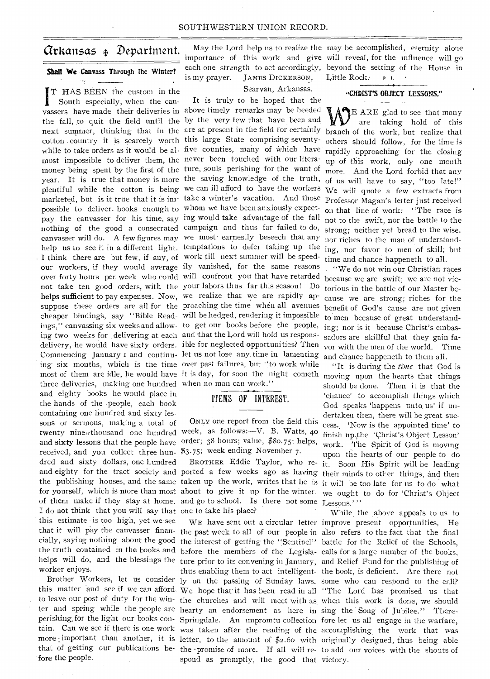# Arkansas Department.

## **Shall We** Canvass Through the Winter?

I T HAS BEEN the custom in the South especially, when the canmost impossible to deliver them, the never been touched with our literapossible to deliver. books enough to whom we have been anxiously expect-I think there are but few, if any, of work till next summer will be speedhelps sufficient to pay expenses. Now, we realize that we are rapidly apsuppose these orders are all for the proaching the time when all avenues cheaper bindings, say "Bible Read- will be hedged, rendering it impossible ings," canvassing six weeks and allow- to get our books before the people, ing two weeks for delivering at each and that the Lord will hold us responsdelivery, he would have sixty orders. ible for neglected opportunities? Then Commencing January i and continu-let us not lose any. time in lamenting ing six months, which is the time over past failures, but ''to work while most of them are idle, he would have it is day, for soon the night cometh moving upon the hearts that things three deliveries, making one hundred when no man can work." and eighty books he would place in the hands of the people, each book containing one hundred and sixty lessons or sermons, making a total of twenty nine thousand one hundred week, as follows:--V. B. Watts, 40 and sixty lessons that the people have order; 38 hours; value, \$80.75; helps, received, and you collect three hun-\$3.75; week ending November 7. dred and sixty dollars, one hundred and eighty for the tract society and ported a few weeks ago as having their minds to other things, and then the publishing houses, and the same taken up the work, writes that he is it will be too late for us to do what for yourself, which is more than most about to give it up for the winter, we ought to do for 'Christ's Object of them make if they stay at home. and go to school. Is there not some Lessons.'" I do not think that you will say that one to take his place? this estimate is too high, yet we see that it will pay the canvasser finan-the past week to all of our people in also refers to the fact that the final cially, saying nothing about the good the interest of getting the "Sentinel" battle for the Relief of the Schools, the truth contained in the books and before the members of the Legisla-calls for a large number of the books, helps will do, and the blessings the ture prior to its convening in January, and Relief Fund for the publishing of worker enjoys.

fore the people.

is my prayer. JAMES DICKERSON,

May the Lord help us to realize the may be accomplished, eternity alone importance of this work and give will reveal, for the influence will go each one strength to act accordingly, beyond the setting of the House in Little Rock.  $\mathbf{F}$   $\mathbf{I}$ 

# Searvan, Arkansas.

vassers have made their deliveries in above timely remarks may be heeded the fall, to quit the field until the by the very few that have been and next summer, thinking that in the are at present in the field for certainly branch of the work, but realize that cotton country it is scarcely worth this large State comprising seventy- others should follow, for the time is while to take orders as it would be al- five counties, many of which have rapidly approaching for the closing money being spent by the first of the ture, souls perishing for the want of year. It is true that money is more the saving knowledge of the truth, of us will have to say, "too late!" plentiful while the cotton is being we can ill afford to have the workers marketed, but is it true that it is im-take a winter's vacation. And those pay the canvasser for his time, say ing would take advantage of the fall nothing of the good a consecrated campaign and thus far failed to do, strong; neither yet bread to the wise, canvasser will do. A few figures may we most earnestly beseech that any nor riches to the man of understandhelp us to see it in a different light. temptations to defer taking up the ing, nor favor to men of skill; but our workers, if they would average ily vanished, for the same reasons over forty hours per week who could will confront you that have retarded because we are swift; we are not vicnot take ten good orders, with the your labors thus far this season! Do It is truly to be hoped that the

# ITEMS OF INTEREST.

ONLY one report from the field this

to leave our post of duty for the win-the churches and will meet with as, when this work is done, we should ter and spring while the people are hearty an endorsement as here in sing the Song of Jubilee." Thereperishing, for the light our books con-Springdale. An impromtu collection fore let us all engage in the warfare, more important than another, it is letter, to the amount of \$2.60 with originally designed, thus being able that of getting our publications be-the -promise of more. If all will re-to add our voices with the shouts of thus enabling them to act intelligent-the book, is deficient. Are there not spond as promptly, the good that victory.

"CHRIST'S OBJECT LESSONS."

E ARE glad to see that many are taking hold of this up of this work, only one month more. And the Lord forbid that any We will quote a few extracts from Professor Magan's letter just received on that line of work: "The race is not to the swift, nor the battle to the time and chance happeneth to all.

. "We do not win our Christian races torious in the battle of our Master because we are strong; riches for the benefit of God's cause are not given to men because of great understanding; nor is it because Christ's embassadors are skillful that they gain favor with the men of the world. Time and chance happeneth to them all.

BROTHER Eddie Taylor, who re-it. Soon His Spirit will be leading "It is during the *time* that God is should be clone. Then it is that the 'chance' to accomplish things which God speaks 'happens unto us' if undertaken then, there will be great success.. 'Now is the appointed time' to finish up.,the 'Christ's Object Lesson' work. The Spirit of God is moving upon the hearts of our people to do

Brother Workers, let us consider ly on the passing of Sunday laws. some who can respond to the call? this matter and see if we can afford We hope that it has been read in all "The Lord has promised us that tain. Can we see if there is one work was taken after the reading of the accomplishing the work that was WE have sent out a circular letter improve present opportunities, He While the above appeals to us to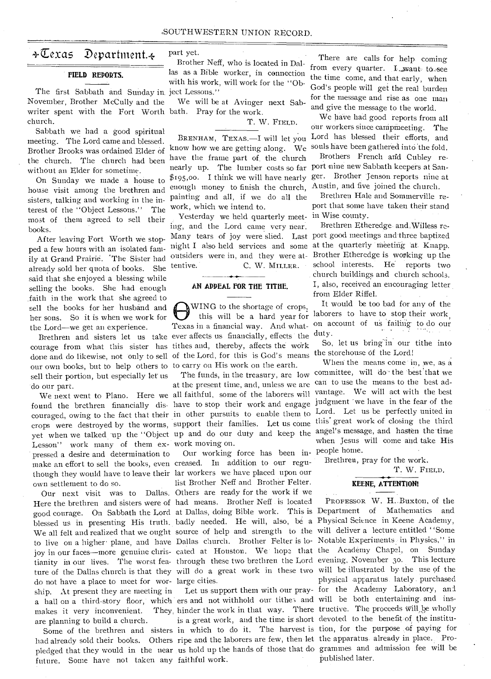# $\star\overline{\mathbb{C}}$ exas Department. $\star$

#### **FIELD REPORTS.**

November, Brother McCully and the writer spent with the Fort Worth bath. Pray for the work. church. The first Sabbath and Sunday in ject Lessons."

Sabbath we had a good spiritual meeting. The Lord came and blessed. Brother Brooks was ordained Elder of the church. The church had been without an Elder for sometime.

On Sunday we made a house to house visit among the brethren and sisters, talking and working in the interest of the "Object Lessons." The most of them agreed to sell their books.

After leaving Fort Worth we stopped a few hours with an isolated family at Grand Prairie. 'The Sister had already sold her quota of books. She said that she enjoyed a blessing while selling the books. She had enough .faith in the work that she agreed to sell the books for her husband and her sons. So it is when we work for the Lord—we get an experience.

our own books, but to help others to to carry on His work on the earth. sell their portion, but especially let us do our part.

found the brethren financially dis- have to stop their work and engage crops were destroyed by the worms, support Lesson" work many of them ex-work moving on. pressed a desire and determination to make an effort to sell the hooks, even creased. In addition to our reguthough they would have to leave their lar workers we have placed upon our own settlement to do so.

blessed us in presenting His truth. badly needed. He will, also, be a Physical Science in Keene Academy, Here the brethren and sisters were of had means. Brother Neff . is located do not have a place to meet for wor-large cities. ship. At present they are meeting in makes it very inconvenient. are planning to build a church.

future. Some have not taken any faithful work.

part yet.

Brother Neff, who is located in Dallas as a Bible worker, in connection With his work, will work for the "Ob-

We will be at Avinger next Sab-

T. W. FIELD.

know how we are getting along. We souls have been gathered into the fold. have the frame part of, the church nearly up. The lumber costs so far port nine new Sabbath keepers at Sanenough money to finish the church, painting and all, if we do all the work, which we intend to.

Yesterday we held quarterly meeting, and the Lord came very near. tentive. C. W. MILLER.

#### **AN APPEAL FOR THE TITHE.**

Brethren and sisters let us take ever affects us financially, effects the  $\frac{duty}{dx}$ . Exercise and sisters for us take ever ancees as antiherally, ences the work So, let us bring in our tithe into done and do likewise, not only to sell of the Lord, for this is God's means the storehouse of the Lord! Texas in a financial way. And what- on account of us failing to do our ever affects us financially effects the duty. to carry on His work on the earth. When the means come in, we, as

We next went to Plano. Here we all faithful, some of the laborers will vantage. We will act with the best couraged, owing to the fact that their in other pursuits to enable them to Lord. Let us be perfectly united in erops were destroyed by the words,  $\frac{1}{1}$  and do our duty and keep the angel's message, and hasten the time at the present time, and, unless we are can to use the means to the best ad-<br>all faithful some of the laborers will vantage. We will act with the best

Our next visit was to Dallas. Others are ready for the work if we Our working force has been in- people home. list Brother Neff and Brother Felter.

a hall on a third-story floor, which ers and not withhold our tithes and will be both entertaining and ins-

There are calls for help coming from every quarter. L.want to see the time come, and that early, when God's people will get the real burden for the message and rise as one man and give the message to the world.

BRENHAM, TEXAS.-I will let you Lord has blessed their efforts, and We have had good reports from all our workers since campmeeting. The

\$195,00. I think we will have nearly ger. Brother 'Jenson reports nine at Brothers French and Cubley re-Austin, and five joined the church.

> Brethren Hale and Sommerville report that some have taken their stand in Wise county.

Many tears of joy were slied. Last port good meetings and three baptized night I also held services and some at the quarterly meeting at Knapp. outsiders were in, and they were at-Brother Etheredge is working up the Brethren- Etheredge- and.Willess reschool interests. He reports two Church buildings and church schools. I, also, received an encouraging letter from Elder Riffel.

WING to the shortage of crops, It would be too bad for any of the this will be a hard year for laborers to have to stop their work,

The funds, in the treasury, are low committee, will do the best that we judgment 'we have in the fear of the<br>Lord. Let us be perfectly united in this great work of closing the third when Jesus will come and take His

Brethren, pray for the work.

T. W. FIELD.

#### **KEENE, ATTENTION!**

PROFESSOR W. H.. Buxton, of the refer the steament and entertainment of Mathematics and good courage. On Sabbath the Lord at Dallas, doing Bible work. This is Department of Mathematics and We all felt and realized that we ought source of help and strength to the will deliver a lecture entitled "Some to live on a higher plane, and have Dallas church. Brother Felter is lo- Notable Experiments in Physics," in joy in our faces—more genuine chris- cated at Houston. We hope that the Academy Chapel, on Sunday tianity in our lives. The worst fea- through these two brethren the Lord evening, November 30. This lecture ture of the Dallas church is that they will do a great work in these two will be illustrated by the use of the physical apparatus lately purchased Let us support them with our pray- for the Academy Laboratory, and hinder the work in that way. There tructive. The proceeds will be wholly is a great work, and the time is short devoted to the benefit of the institu-Some of the brethren and sisters in which to do it. The harvest is tion, for the purpose of paying for had already sold their books. Others ripe and the laborers are few, then let the apparatus already in place. Propledged that they would in the near us hold up the hands of those that do grammes and admission fee will be Published later.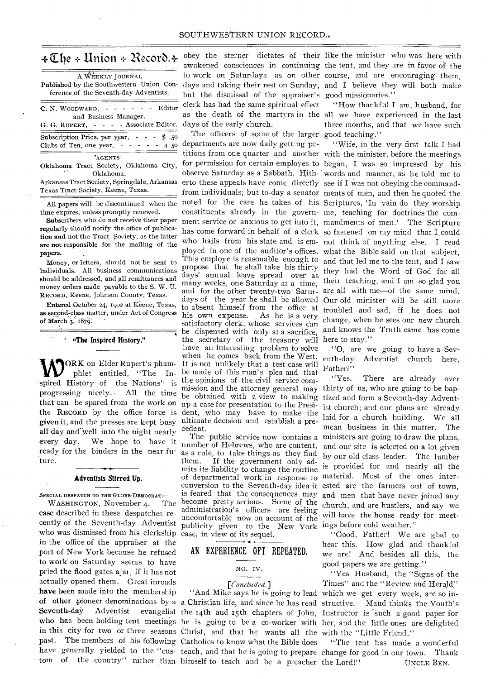# $\texttt{\text{*}}\mathfrak{\text{}}$ the  $\texttt{\text{*}}$  Union  $\texttt{\text{*}}$  Record. $\texttt{\text{*}}$

| A WEEKLY JOURNAL                                  |
|---------------------------------------------------|
| Published by the Southwestern Union Con-          |
| ference of the Seventh-day Adventists.            |
| Editor<br>C. N. WOODWARD,<br>المناصر المناسب      |
| and Business Manager.                             |
| G. G. RUPERT, - - - - Associate Editor.           |
| Subscription Price, per year, $  \frac{1}{2}$ .50 |
| Clubs of Ten, one year, $- - - -$<br>4 50         |
| AGENTS:                                           |
| Oklahoma Tract Society, Oklahoma City,            |
| Oklahoma.                                         |
| Arkaneas Tract Society Springdale Arkansas        |

Arkansas Tract Society, Springdale, Arkansas Texas Tract Society, Keene, Texas.

All papers will be discontinued when the time expires, unless promptly renewed.

Subscribers who do not receive their paper regularly should notify the office of publication and not the Tract Society, as the latter are not responsible for the mailing of the papers.

Money, or letters, should not be sent to individuals. All business communications should be addressed, and all remittances and money orders made payable to the S. W. U. RECORD, Keene, Johnson County, Texas.

Entered October 24, 1902 at Keene, Texas, as second-class matter, under Act of Congress of March 3, 1879.

**' "The Inspired History."** 

that can be spared from the work on up a case for presentation to the Presigiven it, and the presses are kept busy ultimate decision and establish a preall day and-well into the night nearly and we have the means of the public service now contains a every day. We hope to have it number of Hebrews, who are content ready for the binders in the near future.

#### **Adventists Stirred Up.**

SPECIAL DESPATCH TO THE GLOBE-DEMOCRAT :-

WASHINGTON, November 4.— The case described in these despatches recently of the Seventh-day AdVentist who was dismissed from his clerkship in the office of the appraiser at the port of New York because he refused to work on Saturday seems to have pried the flood gates ajar, if it has not actually opened them. Great inroads **have** been made into the membership Seventh-day Adventist evangelist the 14th and 15th chapters of John, Instructor is such a good paper for in this city for two or three seasons Christ, and that he wants all the with the "Little Friend." past. The members of his following Catholics to know what the Bible does have generally yielded to the "cus-teach, and that he is going to prepare change for good in our town. Thank

obey the sterner dictates of their like the minister who was here with but the dismissal of the appraiser's good missionaries." clerk has had the same spiritual effect days of the early church.

WORK on Elder Rupert's pham-<br>
phlet entitled, "The In- be made of this man's plea and that<br>
spired History of the Nations" is the opinions of the civil service comphlet entitled, "The In-be made of this man's plea and that progressing nicely. All the time mission and the attorney general may thirty or us, who are going to be bap-<br>that can be epared from the work on the RECORD by the office force is dent, who may have to make the The officers of some of the larger good teaching." departments are now daily getting peobserve Saturday as a Sabbath. Hith-'words and manner, as he told me to erto these appeals have come directly see if I was not obeying the commandfrom individuals; but to-day a senator ments of men, and then he quoted the noted for the care he takes of his Scriptures, 'In vain do they worship constituents already in the govern-me, teaching for doctrines the comment service or anxious to get into it, mandments of men.' The Scripture has come forward in behalf of a clerk so fastened on my mind that I could who hails from his state and is em-not think of anything else. I read ployed in one of the auditor's offices. what the Bible said on that subject, This employe is reasonable enough to and that led me to the tent, and I saw propose that he shall take his thirty and that icd me to the tent, and I saw days' annual leave spread over as many weeks, one Saturday at a time, their teaching, and I am so glad you and for the other twenty-two Satur-are all with me—of the same mind. days of the year he shall be allowed Our old minister will be still more to absent himself from the office at troubled and sad, if he does not his own expense. As he is a very satisfactory clerk, whose services can be dispensed with only at a sacrifice, and knows the Truth came has come the secretary of the treasury will here to stay." have an interesting problem to solve when he comes back from the West. ORK on Elder Rupert's pham- It is not unlikely that a test case will mission and the attorney general may thirty of us, who are going to be bapcedent.

> number of Hebrews, who are content, as a rule, to take things as they find If the government only admits its liability to change the routine of departmental work in response to material. Most of the ones interconversion to the Seventh-day idea it ested are the farmers out of town, is feared that the consequences may become pretty serious. Some of the administration's officers are feeling uncomfortable now on account of the publicity given to the New York ings before cold weather." case, in view of its sequel.

#### AN EXPERIENCE OFT REPEATED.

#### NO. IV.

# *[concluded.]*

tom of the country" rather than himself to teach and be a preacher

awakened consciences in continuing the tent, and they are in favor of the to work on Saturdays as on other course, and are encouraging them, days and taking their rest on Sunday, and I believe they will both make

as the death of the martyrs in the all we have experienced in the last "How thankful I am, husband, for three months, and that we have such

titions from one quarter and another with the minister, before the meetings for permission for certain employes to began, I was so impressed by his "Wife, in the very first talk I had change, when he sees our new church

> "0, are we going to have a Seventh-day Adventist church here,

Father?"<br>"Yes. There are already over ist church; and our plans are already laid for a church building. We all mean business in this matter. The The public service now contains a ministers are going to draw the plans, and our site is selected on a lot given by our old class leader. The lumber is provided for and nearly all the and men that have never joined any church, and are hustlers, and say we will have the house ready for meet-

> "Good, Father! We are glad to hear this. How glad and thankful we are! And besides all this, the good papers we are getting."

**of other** pioneer denominations by a a Christian life, and since he has read structive. Maud thinks the Youth's **who** has been holding tent meetings he is going to be a co-worker with her, and the little ones are delighted "And Mike says he is going to lead which we get every week, are so in-"Yes Husband, the "Signs of the Times" and the "Review and Herald"

> "The tent has made a wonderful UNCLE BEN.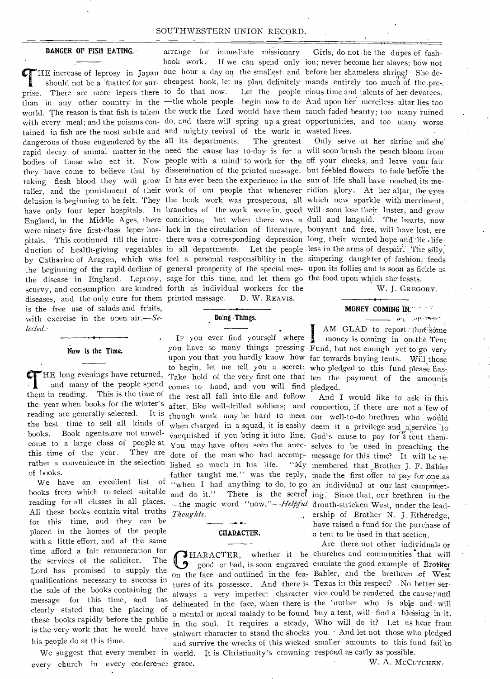#### DANGER OF FISH EATING.

prise. There are more lepers there to do that now. Let the people cious time and talents of her devotees. than in any other country in the —the whole people—begin now to do And upon her merciless altar lies too world. The reason is that fish is taken the work the Lord would have them much faded beauty; too many ruined with every meal; and the poisons con- do, and there will spring up a great opportunities, and too many worse tamed in fish are the most subtle and and mighty revival of the work in wasted lives. dangerous of those engendered by the all its departments. The greatest Only serve at her shrine and she rapid decay of animal matter in the need the cause has to-day is for a will soon brush the peach bloom from. bodies of those who eat it. Now people with a mind-to work for the off your cheeks, and leave your fair they have come to believe that by dissemination of the printed message. but feebled flowers to fade before the taking flesh blood they will grow It has ever been the experience in the sun of life shall have reached its metaller, and the punishment of their work of our people that whenever ridian glory. At her altar, the eyesdelusion is beginning to be felt. They the book work was prosperous, all which now sparkle with merriment, have only four leper hospitals. In branches of the work were in good will soon lose their luster, and grow England, in the Middle Ages, there conditions; but when there was a dull and languid. The hearts, now were ninety-five first-class leper hos- lack in the circulation of literature, bouyant and free, will have lost, ere pitals. This continued till the intro- there was a corresponding depression long, their wonted hope and lie lifeduction of health-giving vegetables in all departments. Let the people less in the arms of despair. The silly, the beginning of the rapid decline of general prosperity of the special mes- upon its follies and is soon as fickle as the disease in England. Leprosy, sage for this time, and let them go the food upon which she feasts. scurvy, and consumption are kindred forth as individual workers for the W. J. GREGORY. diseases, and the only cure for them printed msssage. is the free use of salads and fruits, with exercise in the open *air.—Selected. -* 

#### Now is the Time.

HE long evenings have returned, and many of the people spend them in reading. This is the time of the year when books for the winter's reading are generally selected. It is the best time to sell all kinds of books. Book agentscare not unwelcome to a large class of people at this time of the year. They are rather a convenience in the selection of books.

All these books contain vital truths for this time, and they can be placed in the homes of the people with a little effort, and at the same time afford a fair remuneration for the services of the solicitor. The Lord has promised to supply the qualifications necessary to success in the sale of the books containing the message for this time, and has clearly stated that, the placing of these books rapidly before the public is the very work that he would have his people do at this time.

every church in every conference grace.

arrange for immediate missionary Girls, do not be the dupes of fash book work. If we can spend only ion; never become her slaves; bow not should not be a 'fuatter' for sur- cheapest book, let us plan definitely mands entirely too much of the. D. W. REAVIS.

#### Doing Things.

you have so many things pressing Fund, but not enough yet to go very upon you that you hardly know how far towards buying tents. Will those to begin, let me tell you a secret: who pledged to this fund please has Take hold of the very first one that ten the payment of the amounts comes to hand, and you will find pledged. after, like well-drilled soldiers; and connection, if there are not a few of though work may be hard to meet our well-to-do brethren who would when charged in a squad, it is easily deem it a privilege and a-service to vanquished if you bring it into line. God's cause to pay for a tent themdote of the man who had accomp- message for this time? It will be re-We have an excellent list of "when I had anything to do, to go an individual at our last campmeetbooks from which to select suitable and do it." There is the secret ing. Since that, our brethren in the reading for all classes in all places. —the magic word "now."—Helpful drouth-stricken West, under the lead-Ir you ever find yourself where I the rest all fall into file and follow lished so much in his life. *Thoughts.* 

#### CHARACTER.

We suggest that every member in world. It is Christianity's crowning respond as early as possible.

THE increase of leprosy in Japan one hour a day on the smallest and before her shameless shrine! She de-

by Catharine of Aragon, which was feel a personal responsibility in the simpering daughter of fashion; feeds

#### MONEY COMING IN:

**State State September** AM GLAD to report that some money is coming in onythe Tent

And I would like to ask in this You may have often seen the anec- selves to be used in preaching the membered that Brother J. F. Bahler father taught me," was the reply, made the first offer to pay for , one as ership of Brother N. J. Etheredge, have raised a fund for the purchase of a tent to be used in that section.

Are there not other individuals or HARACTER, whether it be churches and communities that will THARACTER, whether it be churches and communities that will<br>good or bad, is soon engraved emulate the good example of Brother on the face and outlined in the fea- Bahler, and the brethren of West tures of its possessor. And there is Texas in this respect? No better seralways a very imperfect character vice could be rendered the cause; and delineated in the face, when there is the brother who is able and will a mental or moral malady to be found buy a tent, will find a blessing in it. in the soul. It requires a steady, Who will do it? Let us hear from stalwart character to stand the shocks you. And let not those who pledged and survive the wrecks of this wicked smaller amounts to this fund fail to

W. A. MCCUTCHEN;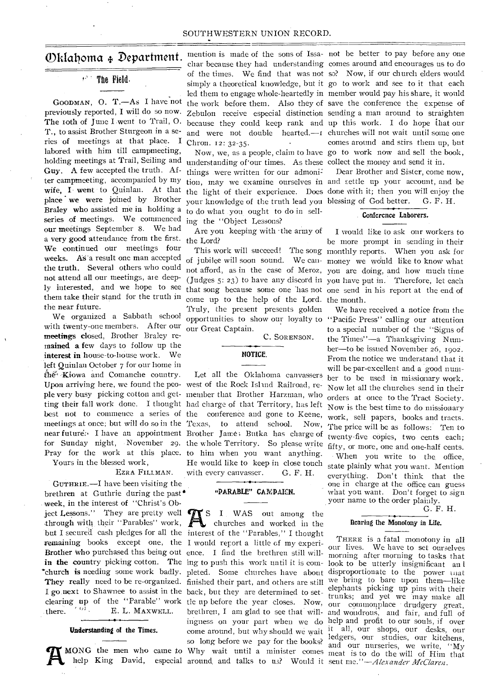#### ' The Field.

The roth of June I went to Trail, O. T., to assist Brother Sturgeon in a series of meetings at that place. I Chron. 12: 32-35. labored with him till campmeeting, holding meetings at Trail, Seiling and understanding of'our times. As these collect the money and send it in. Guy. A few accepted the truth. After campmeeting, accompanied by my wife, I went to Quinlan. At that place we were joined by Brother Braley who assisted me in holding a to do what you ought to do in sellseries of meetings. We commenced ing the "Object Lessons? our meetings September 8. We had a very good attendance from the first. the Lord? We continued our meetings four weeks. As a result one man accepted the truth. Several others who could not attend all our meetings, ale deeply interested, and we hope to see them take their stand for the truth in the near future.

We organized a Sabbath school with twenty-one members. After our meetings closed, Brother Braley remained a few days to follow up the interest in house-to-house work. We left Quinlan October 7 for our home in the Kiowa and Comanche country. Upon arriving here, we found the peo-west of the Rock Island Railroad, reple very busy picking cotton and get-member that Brother Harzman, who ting their fall work done. I thought had charge of that Territory, has left best not to commence a series of the conference and gone to Keene, meetings at once; but will do so in the Texas, near future. I have an appointment Brother Jame; Butka has charge of for Sunday night, November 29. the whole Territory. So please write Pray for the work at this place. to him when you want anything.

Yours in the blessed work,

EZRA FILLMAN.

GUTHRIE.-I have been visiting the brethren at Guthrie during the past' week, in the interest of "Christ's Object Lessons." They are pretty well **The State 1 WAS** out among the through with their "Parables" work, but I secured cash pledges for all the interest of the "Parables," I thought remaining books except one, the I would report a little of my experi-Brother Who purchased this being out ence. I find the brethren still willin the country picking cotton. The ing to push this work until it is com- look to be utterly insignificant and 'church is needing some work badly. pleted. Some churches have about disproportionate to the power tnat They really need to be re-organized. finished their part, and others are still we bring to bare upon them—like I go next to Shawnee to assist in the back, but they are determined to set-<br>I go next to Shawnee to assist in the back, but they are determined to set-<br>trunks: and yet we may make all clearing up of the "Parable" work tle up before the year closes. Now, our commonplace drudgery great, there.  $U^{\text{U}}$  E. L. MAXWELL.

#### **Understanding of the Times.**

MONG the men who came to Why wait until a minister comes meat is to do the will of Him that help King David, especial around and talks to us? Would it sent me."—Alexander McClaren.

Oklahoma 4, Department. mention is made of the sons of Issa-not be better to pay before any one

things were written for our admoni= your knowledge of the truth lead you blessing of God better. G. F. H.

Are you keeping with the army of

come up to the help of the Lord. the month. Truly, the present presents golden opportunities to show our loyalty to "Pacific Press" calling our attention our Great Captain.

C. SORENSON.

#### **NOTICE.**

Let all the Oklahoma canvassers to attend school. Now, He would like to keep in close touch with every canvasser. G. F. H.

#### "PARABLE" CA MPAICN.

help King David, especial around and talks to us? Would it sent me."—*Alexander McClaren*. churches and worked in the so long before we pay for the books?

GOODMAN, O. T.-As I have not the work before them. Also they of save the conference the expense of previously reported, I will do so now. Zebulon receive especial distinction sending a man around to straighten char because they had understanding comes around and encourages us to do of the times. We find that was not so? Now, if our church elders would simply a theoretical knowledge, but it go to work and see to it that each led them to engage whole-heartedly in member would pay his share, it would because they could keep rank and up this work. I do hope ihat our and were not double hearted.—r churches will not wait until some one Now, we, as a people, claim to have go to work now and sell the book, comes around and stirs them up, but

> tion, may we examine ourselves in and settle up your account, and be the light of their experience. Does done with it; then you will enjoy the Dear Brother and Sister, come now,

#### **Conference Laborers.**

This work will succeed! The song monthly reports. When you ask for of jubilee will soon sound. We can-money we would like to know what not afford, as in the case of Meroz, you are doing, and how much time (Judges 5: 23) to have any discord in you have put in. Therefore, let each that song because some one has not one send in his report at the end of I would like to ask onr workers to be more prompt in sending in their

> We have received a notice from the to a special number of the "Signs of the Times"—a Thanksgiving Number—to be issued November 26, 1902. From the notice we understand that it will be par-excellent and a good number to be used in missionary work. Now let all the churches send in their orders at once to the Tract Society. Now is the best time to do missionary work, sell papers, books and tracts. The price will be as follows: Ten to twenty-five copies, two cents each; fifty, or more, one and one-half cents. When you write to the office, state plainly what you want. Mention everything. Don't think that the one in charge at the office can guess what you want. Don't forget to sign your name to the order plainly.

> > G. F. H.

#### **nearing the Monotony in Life.**

brethren, I am glad to see that will- and wondrous; and fair, and full of ingness on your part when we do help and profit to our souls, if over come around, but why should we wait it all, our shops, our desks, our THERE is a fatal monotony in all our lives. We have to set ourselves morning after morning to tasks that trunks; and yet we may make all ledgers, our studies, our kitchens, and our nurseries, we write, "My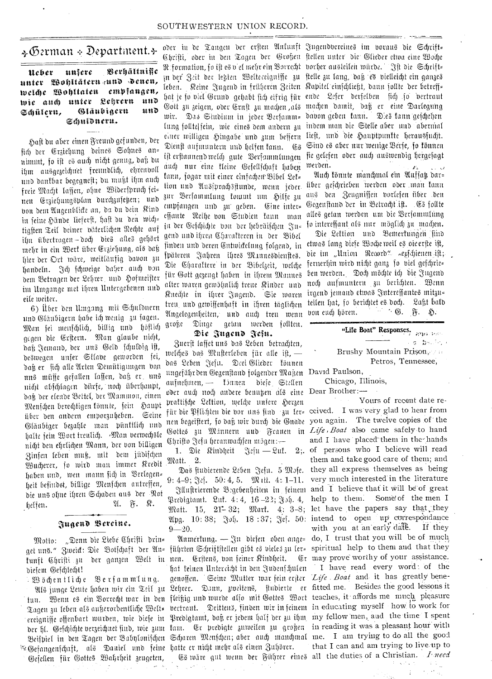# $\Delta \Phi$ erman + Department. $\pm$

# $\bm{u}$ cber unfere Berhältnific tinter ,11)ttiticrat <sup>5</sup> , ruttO *men, tveld)c tiollataten* enaptanorn, wie auch unter Lehrern und<br>Schülern, Gläubigern und Schülern, Glänbigern Schuldneru.

Shaft bu abet einen Breunb gefunben, bet fich der Erziehung deines Sohnes an= nimmt, so ist es auch nicht genug, daß du ihm ausgezeichnet freundlich, ehrenvoll nub bantbar begegneft; bu mujit ibm aud freie Macht lassen, ohne Widerspruch fei= nen Erziehungsplan durchzufetzen; und non hem Witgenbticte an, ba bu 'Dein Rinb in feine Hände lieferst, hast du den wich= tigsten Teil deiner väterlichen Rechte auf ihn übertragen-doch dies alles gehört mehr in ein Werk über Erziehung, als daß hier der Ort wäre, weitläufig davon zu handeln. Jch schweige daher auch von bent c-8etragett bet 2ebter, unb jofuteifter tin LIntgartge met ibren Itntergebenen unb eile weiter.

6) Über den Umgang mit Schuldnern und Gläubigern habe ich wenig zu fagen. Man sei menschlich, billig und höflich gegen die Erstern. Man glaube nicht, daß Jemand, der uns Geld schuldig ist, deswegen unfer Stlave geworden fei, daß er fich alle Arten Demütigungen von nub miifje gefatten laffen, baf3 Cr. unb nicbt abfebiagen biirfe, nod) iiberbannt, ba13 bet etenbe 3eltet, ber c.D.Zatnnion, einen Menschen berechtigen könnte, sein Haupt über den andern emporzuheben. Seine Gläubiger bezahle man pünktlich und halte fein Wort treulich. Man verwechsle nicht den ehrlichen Mann, der von billigen 3infen teben muf3, mit hem jiibifd)eu Wucherer, jo wird man immer Kredit haben und, wen mann sich in Verlegen= heit befindet, billige Menfchen antreffen, die uns ohne ihren Schaden aus der Rot helfen.  $\mathfrak{A.}$   $\mathfrak{A.}$   $\mathfrak{B.}$   $\mathfrak{R.}$ 

# Z411.0enb Zereine.

motto: "Denn die Liebe Eyleft beiner anmertung. – In diefen doen unge- als, I tense einer zu nieder die gewenden funft Christi zu der ganzen Welt in nen. Erstens, von feiner Kindheit. Er may prove worthy of your assistance. Motto: "Denn die Liebe Chrifti drin= diesem Geschlecht!

nen. Zom is in den formen mit in den benenden der den benen der den benen der den bestehenden von den work for ereigniffe offenbart wurden, wie diefe in Predigtamt, daß er jedem half der zu ihm, my fellow men, aud the time I spent Gefangenfihaft, als Daniel und feine hatte er nicht mehr als einen Zuhörer.  $\mathfrak B$ öchentliche Berfammlung. Gesellen für Gottes Wahrheit zeugeten,

Chrifti, oder in den Tagen der Großen ftellen unter die Glieder etwa eine Woche <sub>i</sub>n der Zeit der lehten Welteceigniffe zu ftelle zu lang, daß es bielleicht ein ganzes hat je fo biel Grund gehabt fich eifrig für ende Lefer derfelben fich jo vertraut Gott zu zeigen, oder Ernft zu machen ,als machen damit, daß er eine Darlegung min. Stublum in jeer 'Serfanun-, banon geben faun. Z10 Linn •gefdrben lung follte|fein, wie eines dem andern zu indem man die Stelle aber und 'abermal auch nur eine kleine Gesellschaft haben tann, jogar mit einer einfachen Bibel Let= tion und Ausfprachspunde, wenn jeder. über gefchrieben werden oder man fann zur Bersammlung kommt um Hilfe zu emnfangen unb 3u geben. Line inter-, effante Reibe non Stubien faun man in der Geschichte von der hebrätschen Ju= gend und ihren Charakteren in der Bibel finden und deren Entwickelung folgend, in fpäteren Jahren ihres Mannesdienstes. Die Charaktere in der Bibelzeit, welche für Gott gezeugt haben in ihrem Mannes alter waren gewöhnlich treue Kinder und Rited)te in it)rer ,;)ngenb. Ste maren treu, und gewissenhaft in ihren täglichen Angelegenheiten, und auch treu wenn<br>große Diuge getan werden follten. Dinge getan werden follten.

#### Die Jugend Jeju.

3nerft taffet ttiO bob geben betracijteu, welches das Musterleben für alle ist, das Leben Jefu. Drei Glieder können ungefährden Gegenstand folgender Maßen David Paulson, aufnehmen, — kinnen diese Stellen oder auch noch andere benutzen als eine Dear Brother: prattische Lettion, welche unsere Herzen für die Pflichten die vor uns find zu ler= ceived. I was very glad to hear from nen begeiftert, jo daß wir durch die Gnade you again. The twelve copies of the Gottes zu Minnern uud Frauen in *Life Boat* also came safely to hand Chrifto Jefu heranwachsen mögen: $-$ 

1. Die Kindheit  $\mathbb{R}$ esiu — Luk. Matt. 2.

9: 4-9;  $\Im \varepsilon$ . 50: 4, 5.  $\mathfrak{M}$  th. 4: 1-11. very much interested in the literature Brebigtant. Luf.  $4:4$ ,  $16-23$ ;  $3.5$ ,  $4$ , help to them. Some of the men I  $M$ att. 15, 21-32; Mart. 4; 3-8; let have the papers say that they

 $9 - 20.$ 

hat teinen Untercicht in den Judenfchulen genoffen. Seine Mutter war fein erfter Life Boat and it has greatly bene-Als junge Leute haben wir ein Teil zu Lehrer. Dann, zweitens, studierte er fitted me. Besides the good lessons it tun. Wenn es ein Vorrecht war in den fleißig und wurde also mit Gottes Wort teaches, it affords me much pleasure der hl. Gefchichte verzeichnet find, wie zum kam. Er predigte zuweilen zu großen in reading it was a pleasant hour with er in Schinghe seegen der Babylonischen Echaren Menschen; aber auch manchmal me. I am trying to do all the good

t i live

woder in de Tangen der erften Anfunft Jugendvereines im voraus die Schrift-R:formation, fo ift es v el mehr ein Borrecht vorher austeilen würde. Fft die Schrift= eit von Seit ver legten zoeitereignisse zu steue zu ung, vors es vieleitigt ein ganzes.<br>leben. Keine Jugend in früheren Zeiten Kapitel einfchließt, dann jollte der betreffeiner willigen Hingabe und zum beffern lieft, und die Hauptpunkte herausfucht. Dienft aufmuntern und helfen fann. G8 Sind es aber nur wenige Berfe, fo fönnen ift erftaunend weld) gute Berfammlungen fie gelefen oder auch auswendig hergefagt tuerben.

> Mid) Brittle mancbmal ein Wtiff4 bar= aus den Zeugnissen vorlesen über den Gegenstand der in Betracht ist. Es follte alles getan werden um die Bersamunlung jo intereffant (IN nut mogliet) pu matben. Die Lektion und Bemerkungen sind etwas lang diefe Woche weil es oieerfte ist, bie im "Union Record" sepschienen ist; fernerbin wirb rid)t gan3 fo niel gefebrie= ben werden. Doch möchte ich die Jugend noch aufmuntern zu berichten. Wenn irgend jemand etwas Intereffantes mitzu=

teilen hat, fo berichtet es doch. Laßt bald

"Life Boat" Responses. is princip Brushy Mountain Prison, Petros, Tennessee,

 $\mathbb{R}^n \times \mathbb{S}$ .

 $\widetilde{\pi}$ .  $\mathfrak{D}$ .

non end) boren.

Chicago, Illinois,

Das ftubierende Leben Jeju. 5 Mofe. they all express themselves as being  $\mathfrak{N}$ llustrierende Bigebenheiten in feinem and I believe that it will be of great  $\mathfrak{A}$ pg. 10: 38;  $\mathfrak{J}$ oh. 18:37;  $\mathfrak{F}$ ej. 50: intend to open up correspondance Unmertung. - In diefen oben ange= do, I trust that you will be of much - Yours of recent date reand I have placed them in the hands 2; of persons who I believe will read them and take good care of them; and with you at an early date. If they

Es wire gut wenn der Führer eines all the duties of a Christian. *I need* I have read every word 'of the that I can and am trying to live.up to

 $\sim 10^{10}$ 

÷